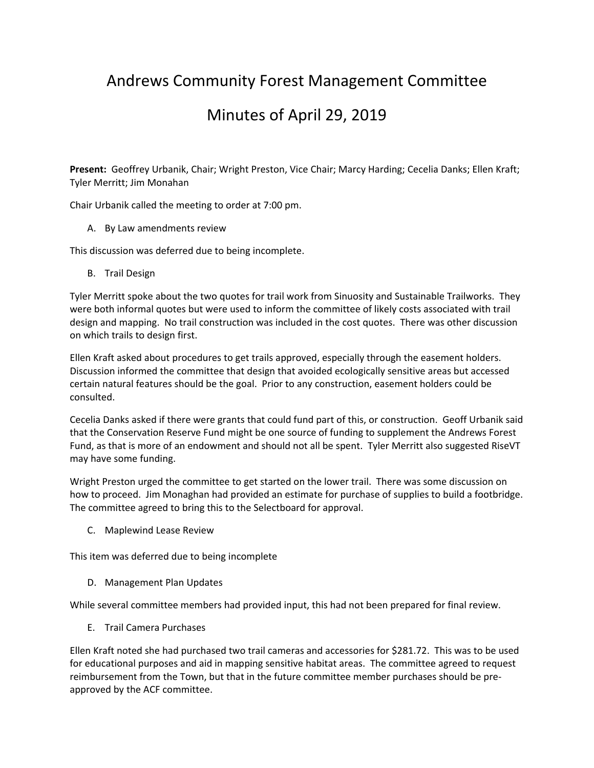## Andrews Community Forest Management Committee

## Minutes of April 29, 2019

**Present:** Geoffrey Urbanik, Chair; Wright Preston, Vice Chair; Marcy Harding; Cecelia Danks; Ellen Kraft; Tyler Merritt; Jim Monahan

Chair Urbanik called the meeting to order at 7:00 pm.

A. By Law amendments review

This discussion was deferred due to being incomplete.

B. Trail Design

Tyler Merritt spoke about the two quotes for trail work from Sinuosity and Sustainable Trailworks. They were both informal quotes but were used to inform the committee of likely costs associated with trail design and mapping. No trail construction was included in the cost quotes. There was other discussion on which trails to design first.

Ellen Kraft asked about procedures to get trails approved, especially through the easement holders. Discussion informed the committee that design that avoided ecologically sensitive areas but accessed certain natural features should be the goal. Prior to any construction, easement holders could be consulted.

Cecelia Danks asked if there were grants that could fund part of this, or construction. Geoff Urbanik said that the Conservation Reserve Fund might be one source of funding to supplement the Andrews Forest Fund, as that is more of an endowment and should not all be spent. Tyler Merritt also suggested RiseVT may have some funding.

Wright Preston urged the committee to get started on the lower trail. There was some discussion on how to proceed. Jim Monaghan had provided an estimate for purchase of supplies to build a footbridge. The committee agreed to bring this to the Selectboard for approval.

C. Maplewind Lease Review

This item was deferred due to being incomplete

D. Management Plan Updates

While several committee members had provided input, this had not been prepared for final review.

E. Trail Camera Purchases

Ellen Kraft noted she had purchased two trail cameras and accessories for \$281.72. This was to be used for educational purposes and aid in mapping sensitive habitat areas. The committee agreed to request reimbursement from the Town, but that in the future committee member purchases should be pre‐ approved by the ACF committee.